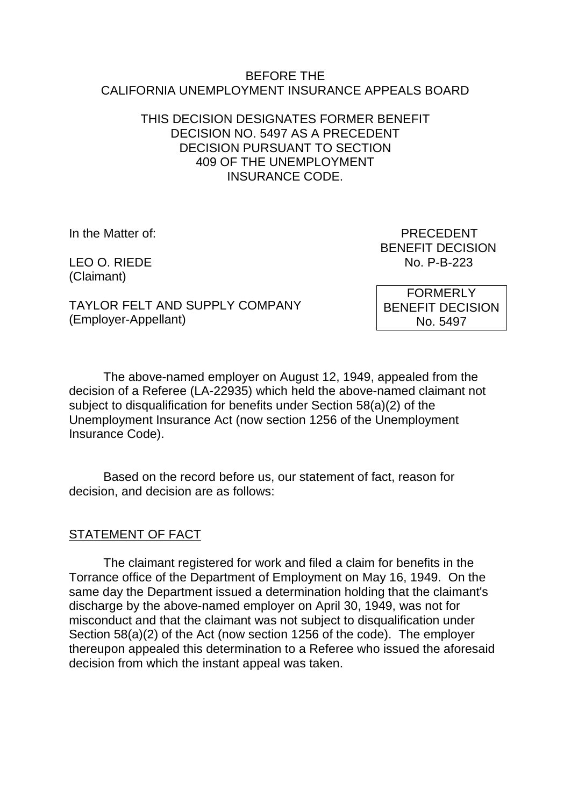#### BEFORE THE CALIFORNIA UNEMPLOYMENT INSURANCE APPEALS BOARD

# THIS DECISION DESIGNATES FORMER BENEFIT DECISION NO. 5497 AS A PRECEDENT DECISION PURSUANT TO SECTION 409 OF THE UNEMPLOYMENT INSURANCE CODE.

(Claimant)

In the Matter of: PRECEDENT BENEFIT DECISION LEO O. RIEDE No. P-B-223

TAYLOR FELT AND SUPPLY COMPANY (Employer-Appellant)

FORMERLY BENEFIT DECISION No. 5497

The above-named employer on August 12, 1949, appealed from the decision of a Referee (LA-22935) which held the above-named claimant not subject to disqualification for benefits under Section 58(a)(2) of the Unemployment Insurance Act (now section 1256 of the Unemployment Insurance Code).

Based on the record before us, our statement of fact, reason for decision, and decision are as follows:

# STATEMENT OF FACT

The claimant registered for work and filed a claim for benefits in the Torrance office of the Department of Employment on May 16, 1949. On the same day the Department issued a determination holding that the claimant's discharge by the above-named employer on April 30, 1949, was not for misconduct and that the claimant was not subject to disqualification under Section 58(a)(2) of the Act (now section 1256 of the code). The employer thereupon appealed this determination to a Referee who issued the aforesaid decision from which the instant appeal was taken.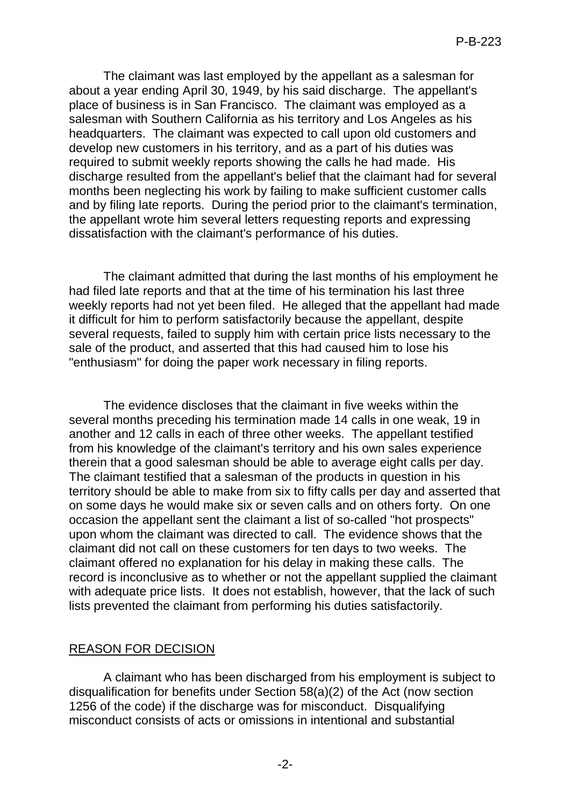The claimant was last employed by the appellant as a salesman for about a year ending April 30, 1949, by his said discharge. The appellant's place of business is in San Francisco. The claimant was employed as a salesman with Southern California as his territory and Los Angeles as his headquarters. The claimant was expected to call upon old customers and develop new customers in his territory, and as a part of his duties was required to submit weekly reports showing the calls he had made. His discharge resulted from the appellant's belief that the claimant had for several months been neglecting his work by failing to make sufficient customer calls and by filing late reports. During the period prior to the claimant's termination, the appellant wrote him several letters requesting reports and expressing dissatisfaction with the claimant's performance of his duties.

The claimant admitted that during the last months of his employment he had filed late reports and that at the time of his termination his last three weekly reports had not yet been filed. He alleged that the appellant had made it difficult for him to perform satisfactorily because the appellant, despite several requests, failed to supply him with certain price lists necessary to the sale of the product, and asserted that this had caused him to lose his "enthusiasm" for doing the paper work necessary in filing reports.

The evidence discloses that the claimant in five weeks within the several months preceding his termination made 14 calls in one weak, 19 in another and 12 calls in each of three other weeks. The appellant testified from his knowledge of the claimant's territory and his own sales experience therein that a good salesman should be able to average eight calls per day. The claimant testified that a salesman of the products in question in his territory should be able to make from six to fifty calls per day and asserted that on some days he would make six or seven calls and on others forty. On one occasion the appellant sent the claimant a list of so-called "hot prospects" upon whom the claimant was directed to call. The evidence shows that the claimant did not call on these customers for ten days to two weeks. The claimant offered no explanation for his delay in making these calls. The record is inconclusive as to whether or not the appellant supplied the claimant with adequate price lists. It does not establish, however, that the lack of such lists prevented the claimant from performing his duties satisfactorily.

### REASON FOR DECISION

A claimant who has been discharged from his employment is subject to disqualification for benefits under Section 58(a)(2) of the Act (now section 1256 of the code) if the discharge was for misconduct. Disqualifying misconduct consists of acts or omissions in intentional and substantial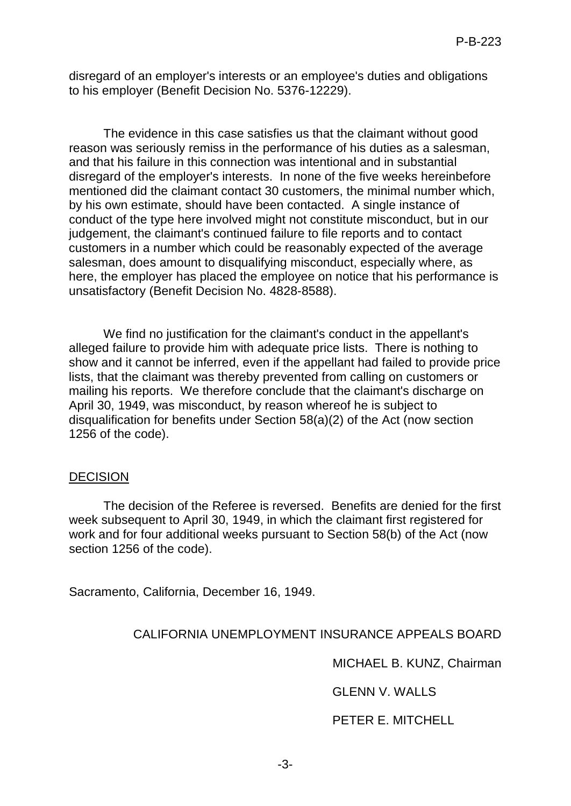disregard of an employer's interests or an employee's duties and obligations to his employer (Benefit Decision No. 5376-12229).

The evidence in this case satisfies us that the claimant without good reason was seriously remiss in the performance of his duties as a salesman, and that his failure in this connection was intentional and in substantial disregard of the employer's interests. In none of the five weeks hereinbefore mentioned did the claimant contact 30 customers, the minimal number which, by his own estimate, should have been contacted. A single instance of conduct of the type here involved might not constitute misconduct, but in our judgement, the claimant's continued failure to file reports and to contact customers in a number which could be reasonably expected of the average salesman, does amount to disqualifying misconduct, especially where, as here, the employer has placed the employee on notice that his performance is unsatisfactory (Benefit Decision No. 4828-8588).

We find no justification for the claimant's conduct in the appellant's alleged failure to provide him with adequate price lists. There is nothing to show and it cannot be inferred, even if the appellant had failed to provide price lists, that the claimant was thereby prevented from calling on customers or mailing his reports. We therefore conclude that the claimant's discharge on April 30, 1949, was misconduct, by reason whereof he is subject to disqualification for benefits under Section 58(a)(2) of the Act (now section 1256 of the code).

#### DECISION

The decision of the Referee is reversed. Benefits are denied for the first week subsequent to April 30, 1949, in which the claimant first registered for work and for four additional weeks pursuant to Section 58(b) of the Act (now section 1256 of the code).

Sacramento, California, December 16, 1949.

### CALIFORNIA UNEMPLOYMENT INSURANCE APPEALS BOARD

MICHAEL B. KUNZ, Chairman

GLENN V. WALLS

PETER E. MITCHELL